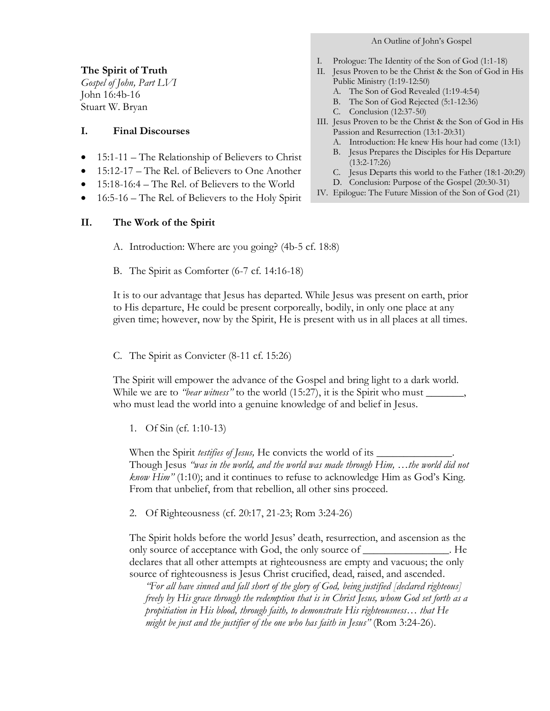# An Outline of John's Gospel

## **The Spirit of Truth**

*Gospel of John, Part LVI* John 16:4b-16 Stuart W. Bryan

### **I. Final Discourses**

- 15:1-11 The Relationship of Believers to Christ
- 15:12-17 The Rel. of Believers to One Another
- 15:18-16:4 The Rel. of Believers to the World
- 16:5-16 The Rel. of Believers to the Holy Spirit

## **II. The Work of the Spirit**

A. Introduction: Where are you going? (4b-5 cf. 18:8)

B. The Spirit as Comforter (6-7 cf. 14:16-18)

It is to our advantage that Jesus has departed. While Jesus was present on earth, prior to His departure, He could be present corporeally, bodily, in only one place at any given time; however, now by the Spirit, He is present with us in all places at all times.

C. The Spirit as Convicter (8-11 cf. 15:26)

The Spirit will empower the advance of the Gospel and bring light to a dark world. While we are to *"bear witness"* to the world (15:27), it is the Spirit who must \_\_\_\_\_\_ who must lead the world into a genuine knowledge of and belief in Jesus.

1. Of Sin (cf. 1:10-13)

When the Spirit *testifies of Jesus*, He convicts the world of its \_ Though Jesus *"was in the world, and the world was made through Him, …the world did not know Him"* (1:10); and it continues to refuse to acknowledge Him as God's King. From that unbelief, from that rebellion, all other sins proceed.

2. Of Righteousness (cf. 20:17, 21-23; Rom 3:24-26)

The Spirit holds before the world Jesus' death, resurrection, and ascension as the only source of acceptance with God, the only source of *\_\_\_\_\_\_\_\_\_\_\_\_\_\_\_\_*. He declares that all other attempts at righteousness are empty and vacuous; the only source of righteousness is Jesus Christ crucified, dead, raised, and ascended.

*"For all have sinned and fall short of the glory of God, being justified [declared righteous] freely by His grace through the redemption that is in Christ Jesus, whom God set forth as a propitiation in His blood, through faith, to demonstrate His righteousness… that He might be just and the justifier of the one who has faith in Jesus"* (Rom 3:24-26).

- I. Prologue: The Identity of the Son of God (1:1-18)
- II. Jesus Proven to be the Christ & the Son of God in His Public Ministry (1:19-12:50)
	- A. The Son of God Revealed (1:19-4:54)
	- B. The Son of God Rejected (5:1-12:36)
	- C. Conclusion (12:37-50)
- III. Jesus Proven to be the Christ & the Son of God in His Passion and Resurrection (13:1-20:31)
	- A. Introduction: He knew His hour had come (13:1)
	- B. Jesus Prepares the Disciples for His Departure (13:2-17:26)
	- C. Jesus Departs this world to the Father (18:1-20:29)
	- D. Conclusion: Purpose of the Gospel (20:30-31)
- IV. Epilogue: The Future Mission of the Son of God (21)